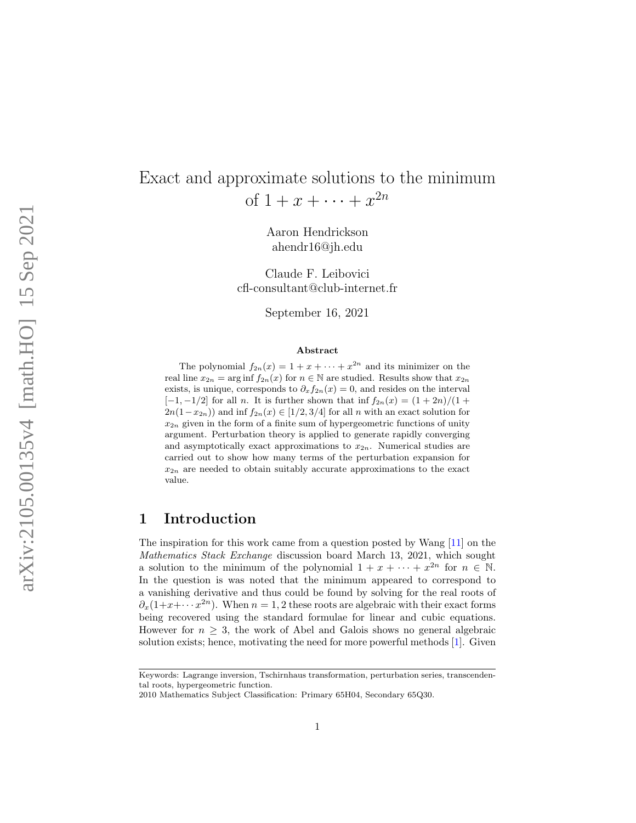# Exact and approximate solutions to the minimum of  $1 + x + \cdots + x^{2n}$

Aaron Hendrickson ahendr16@jh.edu

Claude F. Leibovici cfl-consultant@club-internet.fr

September 16, 2021

#### Abstract

The polynomial  $f_{2n}(x) = 1 + x + \cdots + x^{2n}$  and its minimizer on the real line  $x_{2n} = \arg \inf f_{2n}(x)$  for  $n \in \mathbb{N}$  are studied. Results show that  $x_{2n}$ exists, is unique, corresponds to  $\partial_x f_{2n}(x) = 0$ , and resides on the interval  $[-1,-1/2]$  for all *n*. It is further shown that inf  $f_{2n}(x) = (1+2n)/(1+$  $2n(1-x_{2n})$  and inf  $f_{2n}(x) \in [1/2,3/4]$  for all n with an exact solution for  $x_{2n}$  given in the form of a finite sum of hypergeometric functions of unity argument. Perturbation theory is applied to generate rapidly converging and asymptotically exact approximations to  $x_{2n}$ . Numerical studies are carried out to show how many terms of the perturbation expansion for  $x_{2n}$  are needed to obtain suitably accurate approximations to the exact value.

### 1 Introduction

The inspiration for this work came from a question posted by Wang [\[11\]](#page-10-0) on the Mathematics Stack Exchange discussion board March 13, 2021, which sought a solution to the minimum of the polynomial  $1 + x + \cdots + x^{2n}$  for  $n \in \mathbb{N}$ . In the question is was noted that the minimum appeared to correspond to a vanishing derivative and thus could be found by solving for the real roots of  $\partial_x(1+x+\cdots x^{2n})$ . When  $n=1,2$  these roots are algebraic with their exact forms being recovered using the standard formulae for linear and cubic equations. However for  $n \geq 3$ , the work of Abel and Galois shows no general algebraic solution exists; hence, motivating the need for more powerful methods [ [1\]](#page-9-0). Given

Keywords: Lagrange inversion, Tschirnhaus transformation, perturbation series, transcendental roots, hypergeometric function.

<sup>2010</sup> Mathematics Subject Classification: Primary 65H04, Secondary 65Q30.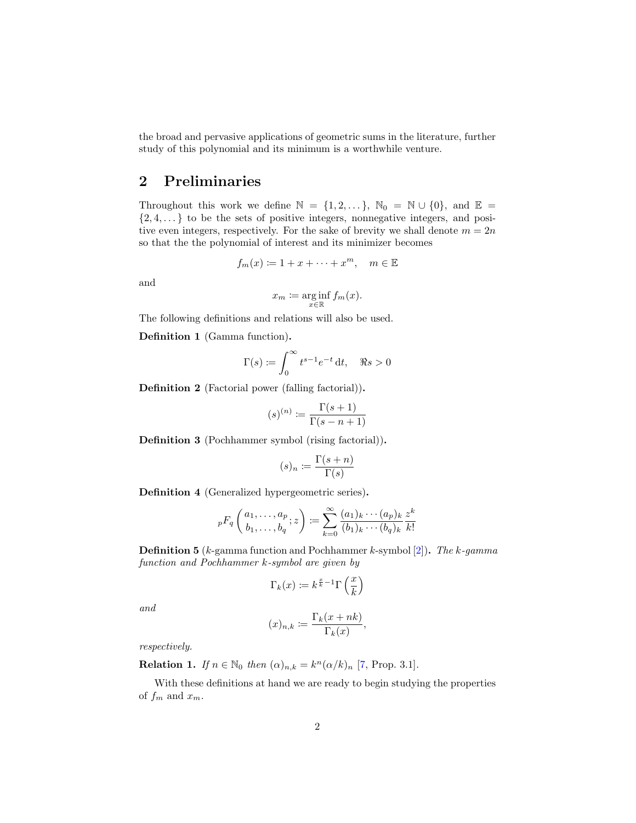the broad and pervasive applications of geometric sums in the literature, further study of this polynomial and its minimum is a worthwhile venture.

## 2 Preliminaries

Throughout this work we define  $\mathbb{N} = \{1, 2, \dots\}$ ,  $\mathbb{N}_0 = \mathbb{N} \cup \{0\}$ , and  $\mathbb{E} =$  $\{2, 4, \ldots\}$  to be the sets of positive integers, nonnegative integers, and positive even integers, respectively. For the sake of brevity we shall denote  $m = 2n$ so that the the polynomial of interest and its minimizer becomes

$$
f_m(x) \coloneqq 1 + x + \dots + x^m, \quad m \in \mathbb{E}
$$

and

$$
x_m \coloneqq \arginf_{x \in \mathbb{R}} f_m(x).
$$

The following definitions and relations will also be used.

Definition 1 (Gamma function).

$$
\Gamma(s) \coloneqq \int_0^\infty t^{s-1} e^{-t} \, \mathrm{d}t, \quad \Re s > 0
$$

Definition 2 (Factorial power (falling factorial)).

$$
(s)^{(n)} \coloneqq \frac{\Gamma(s+1)}{\Gamma(s-n+1)}
$$

Definition 3 (Pochhammer symbol (rising factorial)).

$$
(s)_n \coloneqq \frac{\Gamma(s+n)}{\Gamma(s)}
$$

Definition 4 (Generalized hypergeometric series).

$$
{}_{p}F_{q}\left(\begin{matrix}a_1,\ldots,a_p\\b_1,\ldots,b_q\end{matrix};z\right) := \sum_{k=0}^{\infty}\frac{(a_1)_k\cdots(a_p)_k}{(b_1)_k\cdots(b_q)_k}\frac{z^k}{k!}
$$

**Definition 5** ( $k$ -gamma function and Pochhammer  $k$ -symbol [\[2\]](#page-9-1)). The  $k$ -gamma function and Pochhammer k-symbol are given by

$$
\Gamma_k(x) \coloneqq k^{\frac{x}{k}-1} \Gamma\left(\frac{x}{k}\right)
$$

and

$$
(x)_{n,k} := \frac{\Gamma_k(x+nk)}{\Gamma_k(x)},
$$

respectively.

**Relation 1.** If  $n \in \mathbb{N}_0$  then  $(\alpha)_{n,k} = k^n (\alpha/k)_n$  [\[7,](#page-10-1) Prop. 3.1].

With these definitions at hand we are ready to begin studying the properties of  $f_m$  and  $x_m$ .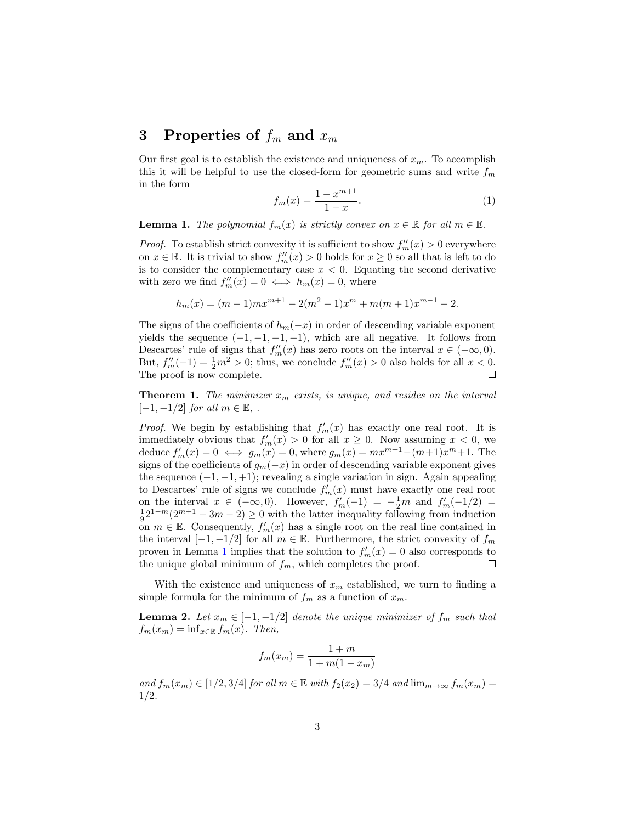# 3 Properties of  $f_m$  and  $x_m$

Our first goal is to establish the existence and uniqueness of  $x_m$ . To accomplish this it will be helpful to use the closed-form for geometric sums and write  $f_m$ in the form

<span id="page-2-2"></span>
$$
f_m(x) = \frac{1 - x^{m+1}}{1 - x}.
$$
 (1)

<span id="page-2-0"></span>**Lemma 1.** The polynomial  $f_m(x)$  is strictly convex on  $x \in \mathbb{R}$  for all  $m \in \mathbb{E}$ .

*Proof.* To establish strict convexity it is sufficient to show  $f''_m(x) > 0$  everywhere on  $x \in \mathbb{R}$ . It is trivial to show  $f''_m(x) > 0$  holds for  $x \ge 0$  so all that is left to do is to consider the complementary case  $x < 0$ . Equating the second derivative with zero we find  $f''_m(x) = 0 \iff h_m(x) = 0$ , where

$$
h_m(x) = (m-1)mx^{m+1} - 2(m^2 - 1)x^m + m(m+1)x^{m-1} - 2.
$$

The signs of the coefficients of  $h_m(-x)$  in order of descending variable exponent yields the sequence  $(-1, -1, -1, -1)$ , which are all negative. It follows from Descartes' rule of signs that  $f''_m(x)$  has zero roots on the interval  $x \in (-\infty, 0)$ . But,  $f''_m(-1) = \frac{1}{2}m^2 > 0$ ; thus, we conclude  $f''_m(x) > 0$  also holds for all  $x < 0$ . The proof is now complete.  $\Box$ 

<span id="page-2-1"></span>**Theorem 1.** The minimizer  $x_m$  exists, is unique, and resides on the interval  $[-1, -1/2]$  for all  $m \in \mathbb{E}$ , .

*Proof.* We begin by establishing that  $f'_m(x)$  has exactly one real root. It is immediately obvious that  $f'_m(x) > 0$  for all  $x \geq 0$ . Now assuming  $x < 0$ , we deduce  $f'_m(x) = 0 \iff g_m(x) = 0$ , where  $g_m(x) = mx^{m+1} - (m+1)x^m + 1$ . The signs of the coefficients of  $g_m(-x)$  in order of descending variable exponent gives the sequence  $(-1, -1, +1)$ ; revealing a single variation in sign. Again appealing to Descartes' rule of signs we conclude  $f'_m(x)$  must have exactly one real root on the interval  $x \in (-\infty, 0)$ . However,  $f'_m(-1) = -\frac{1}{2}m$  and  $f'_m(-1/2) =$  $\frac{1}{9}2^{1-m}(2^{m+1}-3m-2)\geq 0$  with the latter inequality following from induction on  $m \in \mathbb{E}$ . Consequently,  $f'_m(x)$  has a single root on the real line contained in the interval  $[-1, -1/2]$  for all  $m \in \mathbb{E}$ . Furthermore, the strict convexity of  $f_m$ proven in Lemma [1](#page-2-0) implies that the solution to  $f'_m(x) = 0$  also corresponds to the unique global minimum of  $f_m$ , which completes the proof.  $\Box$ 

With the existence and uniqueness of  $x_m$  established, we turn to finding a simple formula for the minimum of  $f_m$  as a function of  $x_m$ .

<span id="page-2-3"></span>**Lemma 2.** Let  $x_m \in [-1, -1/2]$  denote the unique minimizer of  $f_m$  such that  $f_m(x_m) = \inf_{x \in \mathbb{R}} f_m(x)$ . Then,

$$
f_m(x_m) = \frac{1+m}{1+m(1-x_m)}
$$

and  $f_m(x_m) \in [1/2, 3/4]$  for all  $m \in \mathbb{E}$  with  $f_2(x_2) = 3/4$  and  $\lim_{m \to \infty} f_m(x_m) =$ 1/2.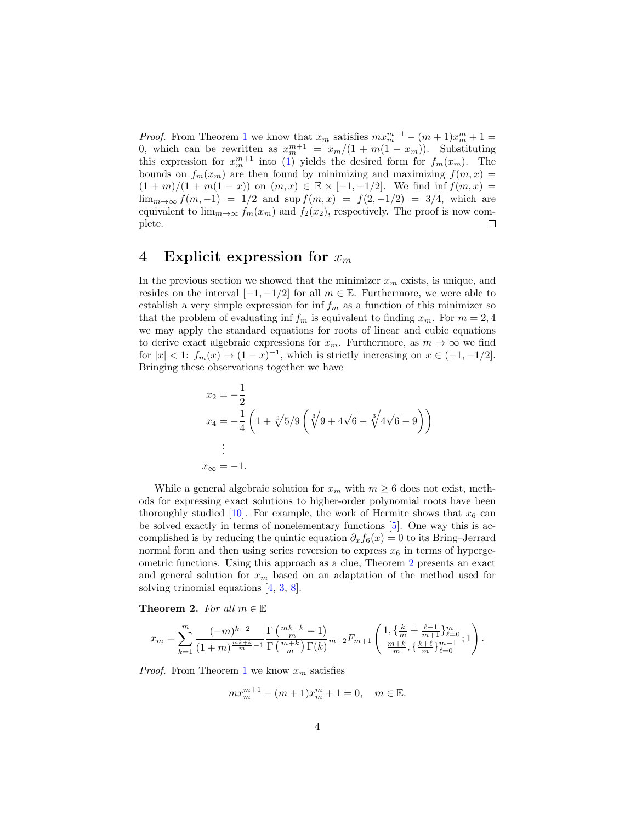*Proof.* From Theorem [1](#page-2-1) we know that  $x_m$  satisfies  $mx_m^{m+1} - (m+1)x_m^m + 1 =$ 0, which can be rewritten as  $x_m^{m+1} = x_m/(1 + m(1 - x_m))$ . Substituting this expression for  $x_m^{m+1}$  into [\(1\)](#page-2-2) yields the desired form for  $f_m(x_m)$ . The bounds on  $f_m(x_m)$  are then found by minimizing and maximizing  $f(m, x) =$  $(1 + m)/(1 + m(1 - x))$  on  $(m, x) \in \mathbb{E} \times [-1, -1/2]$ . We find inf  $f(m, x) =$  $\lim_{m\to\infty} f(m,-1) = 1/2$  and  $\sup f(m,x) = f(2,-1/2) = 3/4$ , which are equivalent to  $\lim_{m\to\infty} f_m(x_m)$  and  $f_2(x_2)$ , respectively. The proof is now com-<br>plete. plete.

#### 4 Explicit expression for  $x_m$

In the previous section we showed that the minimizer  $x_m$  exists, is unique, and resides on the interval  $[-1, -1/2]$  for all  $m \in \mathbb{E}$ . Furthermore, we were able to establish a very simple expression for  $\inf f_m$  as a function of this minimizer so that the problem of evaluating inf  $f_m$  is equivalent to finding  $x_m$ . For  $m = 2, 4$ we may apply the standard equations for roots of linear and cubic equations to derive exact algebraic expressions for  $x_m$ . Furthermore, as  $m \to \infty$  we find for  $|x| < 1$ :  $f_m(x) \to (1-x)^{-1}$ , which is strictly increasing on  $x \in (-1, -1/2]$ . Bringing these observations together we have

$$
x_2 = -\frac{1}{2}
$$
  
\n
$$
x_4 = -\frac{1}{4} \left( 1 + \sqrt[3]{5/9} \left( \sqrt[3]{9 + 4\sqrt{6}} - \sqrt[3]{4\sqrt{6} - 9} \right) \right)
$$
  
\n
$$
\vdots
$$
  
\n
$$
x_{\infty} = -1.
$$

While a general algebraic solution for  $x_m$  with  $m \geq 6$  does not exist, methods for expressing exact solutions to higher-order polynomial roots have been thoroughly studied [\[10\]](#page-10-2). For example, the work of Hermite shows that  $x_6$  can be solved exactly in terms of nonelementary functions [\[5\]](#page-10-3). One way this is accomplished is by reducing the quintic equation  $\partial_x f_6(x) = 0$  to its Bring–Jerrard normal form and then using series reversion to express  $x_6$  in terms of hypergeometric functions. Using this approach as a clue, Theorem [2](#page-3-0) presents an exact and general solution for  $x_m$  based on an adaptation of the method used for solving trinomial equations [\[4,](#page-9-2) [3,](#page-9-3) [8\]](#page-10-4).

<span id="page-3-0"></span>**Theorem 2.** For all  $m \in \mathbb{E}$ 

$$
x_m = \sum_{k=1}^m \frac{(-m)^{k-2}}{(1+m)^{\frac{m-k+k}{m}-1}} \frac{\Gamma\left(\frac{mk+k}{m}-1\right)}{\Gamma\left(\frac{m+k}{m}\right)\Gamma(k)} m + 2F_{m+1} \left( \frac{1, \{\frac{k}{m} + \frac{\ell-1}{m+1}\}_{\ell=0}^m}{\frac{m+k}{m}, \{\frac{k+\ell}{m}\}_{\ell=0}^{m-1}}; 1 \right).
$$

*Proof.* From Theorem [1](#page-2-1) we know  $x_m$  satisfies

$$
mx_m^{m+1} - (m+1)x_m^m + 1 = 0, \quad m \in \mathbb{E}.
$$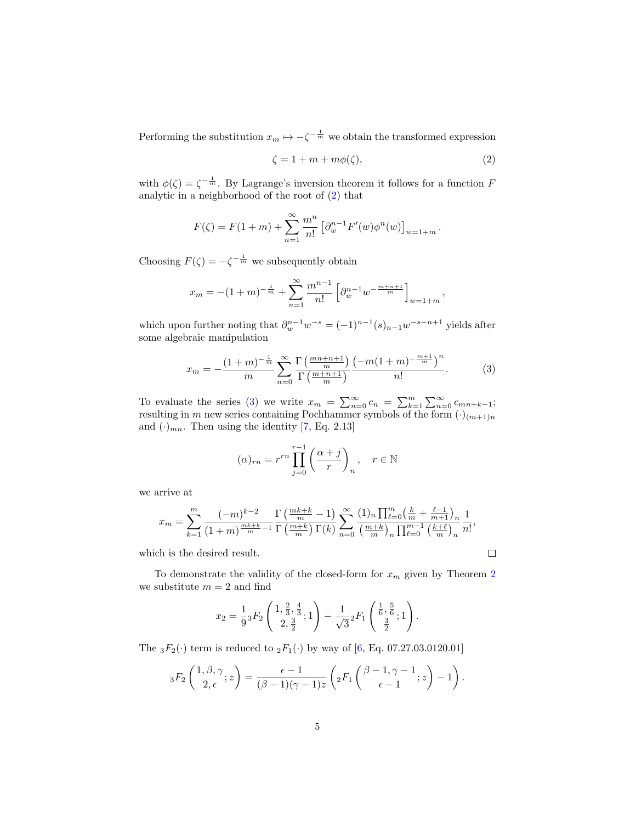Performing the substitution  $x_m \mapsto -\zeta^{-\frac{1}{m}}$  we obtain the transformed expression

<span id="page-4-0"></span>
$$
\zeta = 1 + m + m\phi(\zeta),\tag{2}
$$

,

with  $\phi(\zeta) = \zeta^{-\frac{1}{m}}$ . By Lagrange's inversion theorem it follows for a function F analytic in a neighborhood of the root of [\(2\)](#page-4-0) that

$$
F(\zeta) = F(1+m) + \sum_{n=1}^{\infty} \frac{m^n}{n!} \left[ \partial_w^{n-1} F'(w) \phi^n(w) \right]_{w=1+m}.
$$

Choosing  $F(\zeta) = -\zeta^{-\frac{1}{m}}$  we subsequently obtain

$$
x_m = -(1+m)^{-\frac{1}{m}} + \sum_{n=1}^{\infty} \frac{m^{n-1}}{n!} \left[ \partial_w^{n-1} w^{-\frac{m+n+1}{m}} \right]_{w=1+m}
$$

which upon further noting that  $\partial_w^{n-1} w^{-s} = (-1)^{n-1} (s)_{n-1} w^{-s-n+1}$  yields after some algebraic manipulation

<span id="page-4-1"></span>
$$
x_m = -\frac{(1+m)^{-\frac{1}{m}}}{m} \sum_{n=0}^{\infty} \frac{\Gamma\left(\frac{mn+n+1}{m}\right)}{\Gamma\left(\frac{m+n+1}{m}\right)} \frac{\left(-m(1+m)^{-\frac{m+1}{m}}\right)^n}{n!}.
$$
 (3)

To evaluate the series [\(3\)](#page-4-1) we write  $x_m = \sum_{n=0}^{\infty} c_n = \sum_{k=1}^{m} \sum_{n=0}^{\infty} c_{mn+k-1}$ ; resulting in m new series containing Pochhammer symbols of the form  $(\cdot)_{(m+1)n}$ and  $(\cdot)_{mn}$ . Then using the identity [\[7,](#page-10-1) Eq. 2.13]

$$
(\alpha)_{rn} = r^{rn} \prod_{j=0}^{r-1} \left( \frac{\alpha+j}{r} \right)_n, \quad r \in \mathbb{N}
$$

we arrive at

$$
x_m = \sum_{k=1}^m \frac{(-m)^{k-2}}{(1+m)^{\frac{mk+k}{m}-1}} \frac{\Gamma\left(\frac{mk+k}{m}-1\right)}{\Gamma\left(\frac{m+k}{m}\right)\Gamma(k)} \sum_{n=0}^\infty \frac{(1)_n \prod_{\ell=0}^m \left(\frac{k}{m} + \frac{\ell-1}{m+1}\right)_n}{\left(\frac{m+k}{m}\right)_n \prod_{\ell=0}^{m-1} \left(\frac{k+\ell}{m}\right)_n} \frac{1}{n!},
$$

which is the desired result.

To demonstrate the validity of the closed-form for  $x_m$  given by Theorem [2](#page-3-0) we substitute  $m = 2$  and find

$$
x_2 = \frac{1}{9} {}_3F_2\left(\frac{1, \frac{2}{3}, \frac{4}{3}}{2, \frac{3}{2}}; 1\right) - \frac{1}{\sqrt{3}} {}_2F_1\left(\frac{\frac{1}{6}, \frac{5}{6}}{\frac{3}{2}}; 1\right).
$$

The  ${}_3F_2(\cdot)$  term is reduced to  ${}_2F_1(\cdot)$  by way of [\[6,](#page-10-5) Eq. 07.27.03.0120.01]

$$
{}_3F_2\left(\begin{array}{c}1,\beta,\gamma\\2,\epsilon\end{array};z\right)=\frac{\epsilon-1}{(\beta-1)(\gamma-1)z}\left({}_2F_1\left(\begin{array}{c}\beta-1,\gamma-1\\ \epsilon-1\end{array};z\right)-1\right).
$$

 $\Box$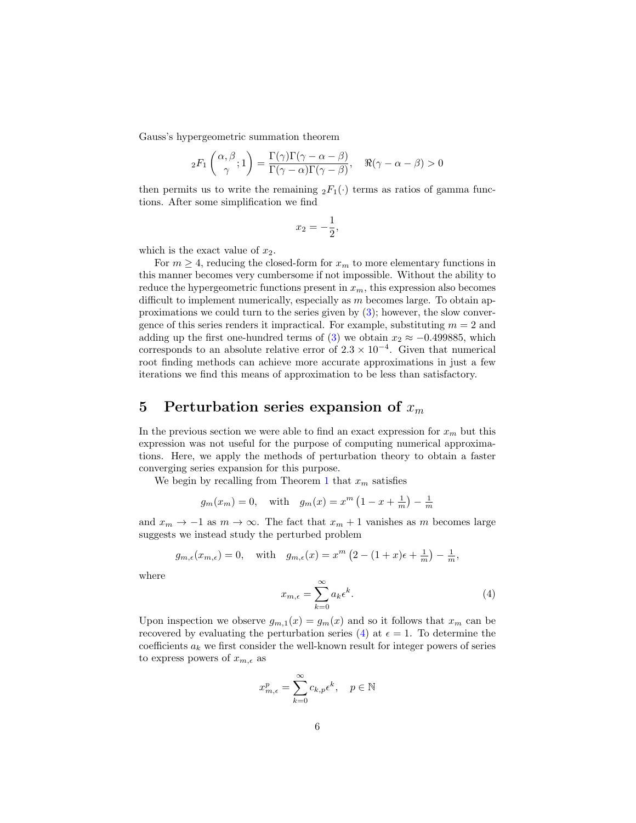Gauss's hypergeometric summation theorem

$$
{}_2F_1\left(\frac{\alpha,\beta}{\gamma};1\right) = \frac{\Gamma(\gamma)\Gamma(\gamma-\alpha-\beta)}{\Gamma(\gamma-\alpha)\Gamma(\gamma-\beta)}, \quad \Re(\gamma-\alpha-\beta) > 0
$$

then permits us to write the remaining  ${}_2F_1(\cdot)$  terms as ratios of gamma functions. After some simplification we find

$$
x_2 = -\frac{1}{2},
$$

which is the exact value of  $x_2$ .

For  $m \geq 4$ , reducing the closed-form for  $x_m$  to more elementary functions in this manner becomes very cumbersome if not impossible. Without the ability to reduce the hypergeometric functions present in  $x_m$ , this expression also becomes difficult to implement numerically, especially as  $m$  becomes large. To obtain approximations we could turn to the series given by  $(3)$ ; however, the slow convergence of this series renders it impractical. For example, substituting  $m = 2$  and adding up the first one-hundred terms of [\(3\)](#page-4-1) we obtain  $x_2 \approx -0.499885$ , which corresponds to an absolute relative error of  $2.3 \times 10^{-4}$ . Given that numerical root finding methods can achieve more accurate approximations in just a few iterations we find this means of approximation to be less than satisfactory.

# 5 Perturbation series expansion of  $x_m$

In the previous section we were able to find an exact expression for  $x_m$  but this expression was not useful for the purpose of computing numerical approximations. Here, we apply the methods of perturbation theory to obtain a faster converging series expansion for this purpose.

We begin by recalling from Theorem [1](#page-2-1) that  $x_m$  satisfies

$$
g_m(x_m) = 0
$$
, with  $g_m(x) = x^m \left(1 - x + \frac{1}{m}\right) - \frac{1}{m}$ 

and  $x_m \to -1$  as  $m \to \infty$ . The fact that  $x_m + 1$  vanishes as m becomes large suggests we instead study the perturbed problem

$$
g_{m,\epsilon}(x_{m,\epsilon}) = 0
$$
, with  $g_{m,\epsilon}(x) = x^m \left(2 - (1+x)\epsilon + \frac{1}{m}\right) - \frac{1}{m}$ ,

where

<span id="page-5-0"></span>
$$
x_{m,\epsilon} = \sum_{k=0}^{\infty} a_k \epsilon^k.
$$
 (4)

Upon inspection we observe  $g_{m,1}(x) = g_m(x)$  and so it follows that  $x_m$  can be recovered by evaluating the perturbation series [\(4\)](#page-5-0) at  $\epsilon = 1$ . To determine the coefficients  $a_k$  we first consider the well-known result for integer powers of series to express powers of  $x_{m,\epsilon}$  as

$$
x_{m,\epsilon}^p = \sum_{k=0}^{\infty} c_{k,p} \epsilon^k, \quad p \in \mathbb{N}
$$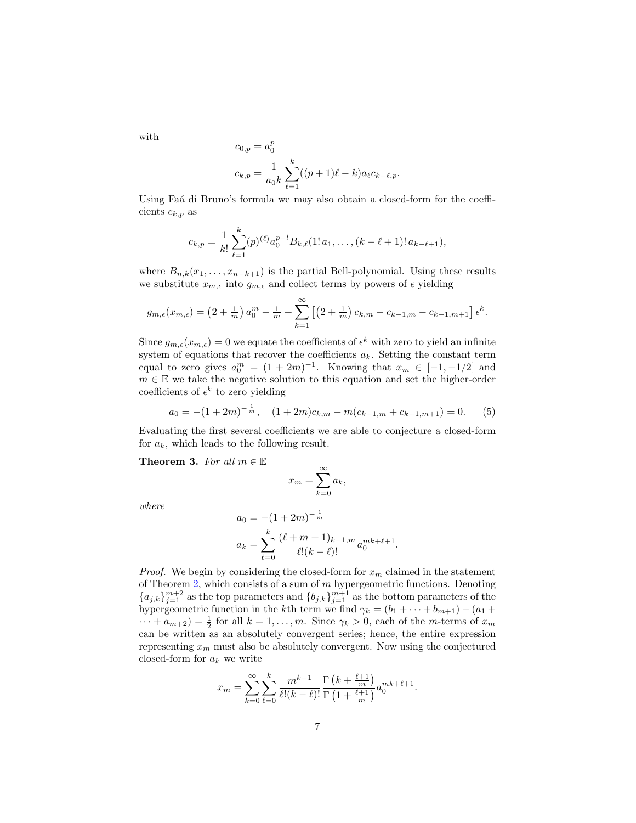with

$$
c_{0,p} = a_0^p
$$
  

$$
c_{k,p} = \frac{1}{a_0 k} \sum_{\ell=1}^k ((p+1)\ell - k) a_\ell c_{k-\ell,p}.
$$

Using Faá di Bruno's formula we may also obtain a closed-form for the coefficients  $c_{k,p}$  as

$$
c_{k,p} = \frac{1}{k!} \sum_{\ell=1}^k (p)^{(\ell)} a_0^{p-l} B_{k,\ell}(1! \, a_1, \ldots, (k-\ell+1)! \, a_{k-\ell+1}),
$$

where  $B_{n,k}(x_1,\ldots,x_{n-k+1})$  is the partial Bell-polynomial. Using these results we substitute  $x_{m,\epsilon}$  into  $g_{m,\epsilon}$  and collect terms by powers of  $\epsilon$  yielding

$$
g_{m,\epsilon}(x_{m,\epsilon}) = \left(2 + \frac{1}{m}\right)a_0^m - \frac{1}{m} + \sum_{k=1}^{\infty} \left[ \left(2 + \frac{1}{m}\right)c_{k,m} - c_{k-1,m} - c_{k-1,m+1} \right] \epsilon^k.
$$

Since  $g_{m,\epsilon}(x_{m,\epsilon}) = 0$  we equate the coefficients of  $\epsilon^k$  with zero to yield an infinite system of equations that recover the coefficients  $a_k$ . Setting the constant term equal to zero gives  $a_0^m = (1 + 2m)^{-1}$ . Knowing that  $x_m \in [-1, -1/2]$  and  $m \in \mathbb{E}$  we take the negative solution to this equation and set the higher-order coefficients of  $\epsilon^k$  to zero yielding

$$
a_0 = -(1+2m)^{-\frac{1}{m}}, \quad (1+2m)c_{k,m} - m(c_{k-1,m} + c_{k-1,m+1}) = 0. \tag{5}
$$

Evaluating the first several coefficients we are able to conjecture a closed-form for  $a_k$ , which leads to the following result.

<span id="page-6-0"></span>Theorem 3. For all  $m \in \mathbb{E}$ 

$$
x_m = \sum_{k=0}^{\infty} a_k,
$$

where

$$
a_0 = -(1+2m)^{-\frac{1}{m}}
$$
  

$$
a_k = \sum_{\ell=0}^k \frac{(\ell+m+1)_{k-1,m}}{\ell!(k-\ell)!} a_0^{mk+\ell+1}
$$

.

*Proof.* We begin by considering the closed-form for  $x_m$  claimed in the statement of Theorem [2,](#page-3-0) which consists of a sum of  $m$  hypergeometric functions. Denoting  ${a_{j,k}}_{j=1}^{m+2}$  as the top parameters and  ${b_{j,k}}_{j=1}^{m+1}$  as the bottom parameters of the hypergeometric function in the kth term we find  $\gamma_k = (b_1 + \cdots + b_{m+1}) - (a_1 +$  $\cdots + a_{m+2}$  =  $\frac{1}{2}$  for all  $k = 1, \ldots, m$ . Since  $\gamma_k > 0$ , each of the *m*-terms of  $x_m$ can be written as an absolutely convergent series; hence, the entire expression representing  $x_m$  must also be absolutely convergent. Now using the conjectured closed-form for  $a_k$  we write

$$
x_m = \sum_{k=0}^{\infty} \sum_{\ell=0}^{k} \frac{m^{k-1}}{\ell!(k-\ell)!} \frac{\Gamma\left(k + \frac{\ell+1}{m}\right)}{\Gamma\left(1 + \frac{\ell+1}{m}\right)} a_0^{mk+\ell+1}.
$$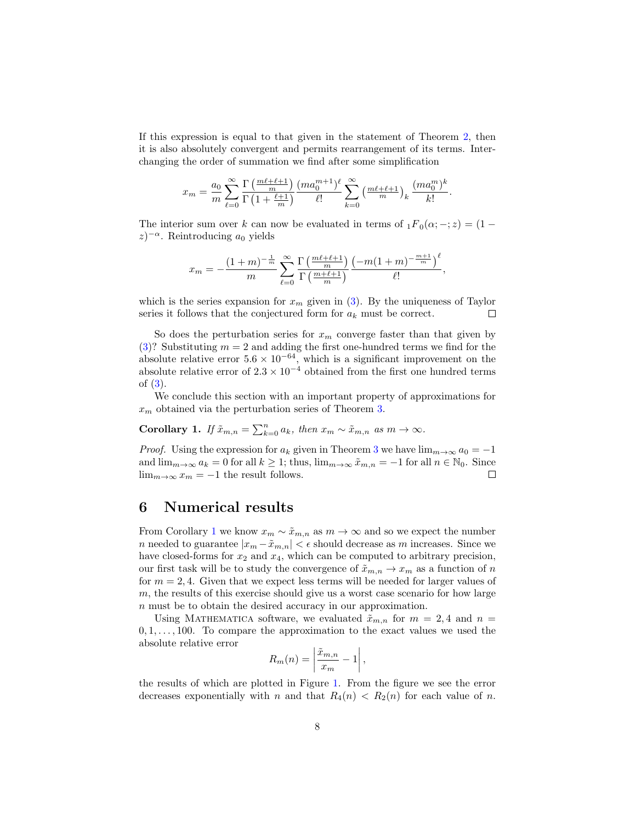If this expression is equal to that given in the statement of Theorem [2,](#page-3-0) then it is also absolutely convergent and permits rearrangement of its terms. Interchanging the order of summation we find after some simplification

$$
x_m = \frac{a_0}{m} \sum_{\ell=0}^{\infty} \frac{\Gamma\left(\frac{m\ell+\ell+1}{m}\right)}{\Gamma\left(1+\frac{\ell+1}{m}\right)} \frac{(ma_0^{m+1})^{\ell}}{\ell!} \sum_{k=0}^{\infty} \left(\frac{m\ell+\ell+1}{m}\right)_k \frac{(ma_0^m)^k}{k!}.
$$

The interior sum over k can now be evaluated in terms of  $_1F_0(\alpha; -; z) = (1 (z)^{-\alpha}$ . Reintroducing  $a_0$  yields

$$
x_m = -\frac{(1+m)^{-\frac{1}{m}}}{m} \sum_{\ell=0}^{\infty} \frac{\Gamma\left(\frac{m\ell+\ell+1}{m}\right)}{\Gamma\left(\frac{m+\ell+1}{m}\right)} \frac{\left(-m(1+m)^{-\frac{m+1}{m}}\right)^{\ell}}{\ell!},
$$

which is the series expansion for  $x_m$  given in [\(3\)](#page-4-1). By the uniqueness of Taylor series it follows that the conjectured form for  $a_k$  must be correct.  $\Box$ 

So does the perturbation series for  $x_m$  converge faster than that given by [\(3\)](#page-4-1)? Substituting  $m = 2$  and adding the first one-hundred terms we find for the absolute relative error  $5.6 \times 10^{-64}$ , which is a significant improvement on the absolute relative error of  $2.3 \times 10^{-4}$  obtained from the first one hundred terms of [\(3\)](#page-4-1).

We conclude this section with an important property of approximations for  $x_m$  obtained via the perturbation series of Theorem [3.](#page-6-0)

<span id="page-7-0"></span>Corollary 1. If  $\tilde{x}_{m,n} = \sum_{k=0}^{n} a_k$ , then  $x_m \sim \tilde{x}_{m,n}$  as  $m \to \infty$ .

*Proof.* Using the expression for  $a_k$  given in Theorem [3](#page-6-0) we have  $\lim_{m\to\infty} a_0 = -1$ and  $\lim_{m\to\infty} a_k = 0$  for all  $k \geq 1$ ; thus,  $\lim_{m\to\infty} \tilde{x}_{m,n} = -1$  for all  $n \in \mathbb{N}_0$ . Since  $\lim_{m\to\infty} x_m = -1$  the result follows.  $\lim_{m\to\infty}x_m=-1$  the result follows.

#### 6 Numerical results

From Corollary [1](#page-7-0) we know  $x_m \sim \tilde{x}_{m,n}$  as  $m \to \infty$  and so we expect the number n needed to guarantee  $|x_m - \tilde{x}_{m,n}| < \epsilon$  should decrease as  $m$  increases. Since we have closed-forms for  $x_2$  and  $x_4$ , which can be computed to arbitrary precision, our first task will be to study the convergence of  $\tilde{x}_{m,n} \to x_m$  as a function of n for  $m = 2, 4$ . Given that we expect less terms will be needed for larger values of m, the results of this exercise should give us a worst case scenario for how large n must be to obtain the desired accuracy in our approximation.

Using MATHEMATICA software, we evaluated  $\tilde{x}_{m,n}$  for  $m = 2, 4$  and  $n =$  $0, 1, \ldots, 100$ . To compare the approximation to the exact values we used the absolute relative error

$$
R_m(n) = \left|\frac{\tilde{x}_{m,n}}{x_m} - 1\right|,
$$

the results of which are plotted in Figure [1.](#page-8-0) From the figure we see the error decreases exponentially with n and that  $R_4(n) < R_2(n)$  for each value of n.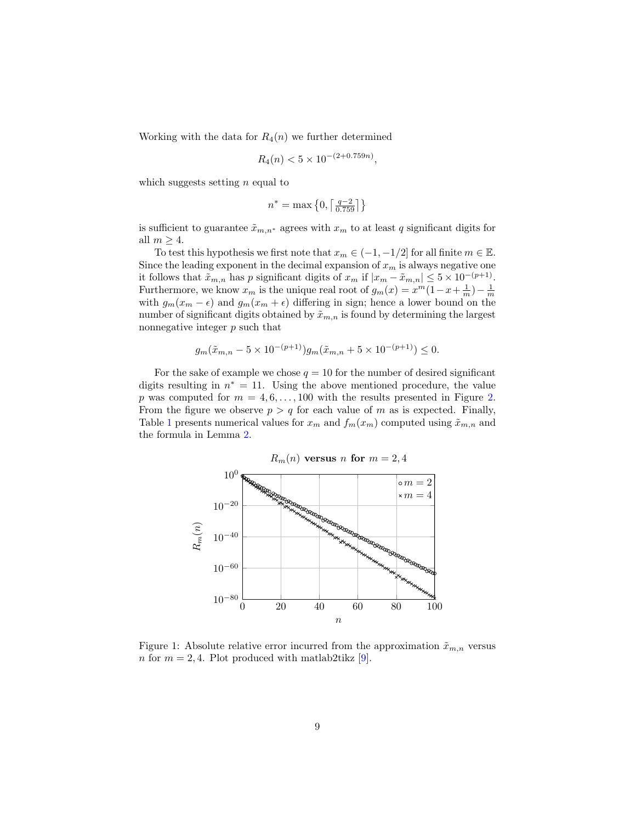Working with the data for  $R_4(n)$  we further determined

$$
R_4(n) < 5 \times 10^{-(2+0.759n)},
$$

which suggests setting  $n$  equal to

$$
n^* = \max\left\{0, \left\lceil \tfrac{q-2}{0.759} \right\rceil\right\}
$$

is sufficient to guarantee  $\tilde{x}_{m,n^*}$  agrees with  $x_m$  to at least q significant digits for all  $m \geq 4$ .

To test this hypothesis we first note that  $x_m \in (-1, -1/2]$  for all finite  $m \in \mathbb{E}$ . Since the leading exponent in the decimal expansion of  $x_m$  is always negative one it follows that  $\tilde{x}_{m,n}$  has p significant digits of  $x_m$  if  $|x_m - \tilde{x}_{m,n}| \leq 5 \times 10^{-(p+1)}$ . Furthermore, we know  $x_m$  is the unique real root of  $g_m(x) = x^m(1-x+\frac{1}{m})-\frac{1}{m}$ with  $g_m(x_m - \epsilon)$  and  $g_m(x_m + \epsilon)$  differing in sign; hence a lower bound on the number of significant digits obtained by  $\tilde{x}_{m,n}$  is found by determining the largest nonnegative integer p such that

$$
g_m(\tilde{x}_{m,n} - 5 \times 10^{-(p+1)})g_m(\tilde{x}_{m,n} + 5 \times 10^{-(p+1)}) \le 0.
$$

For the sake of example we chose  $q = 10$  for the number of desired significant digits resulting in  $n^* = 11$ . Using the above mentioned procedure, the value p was computed for  $m = 4, 6, \ldots, 100$  with the results presented in Figure [2.](#page-9-4) From the figure we observe  $p > q$  for each value of m as is expected. Finally, Table [1](#page-11-0) presents numerical values for  $x_m$  and  $f_m(x_m)$  computed using  $\tilde{x}_{m,n}$  and the formula in Lemma [2.](#page-2-3)



<span id="page-8-0"></span>Figure 1: Absolute relative error incurred from the approximation  $\tilde{x}_{m,n}$  versus n for  $m = 2, 4$ . Plot produced with matlab2tikz [\[9\]](#page-10-6).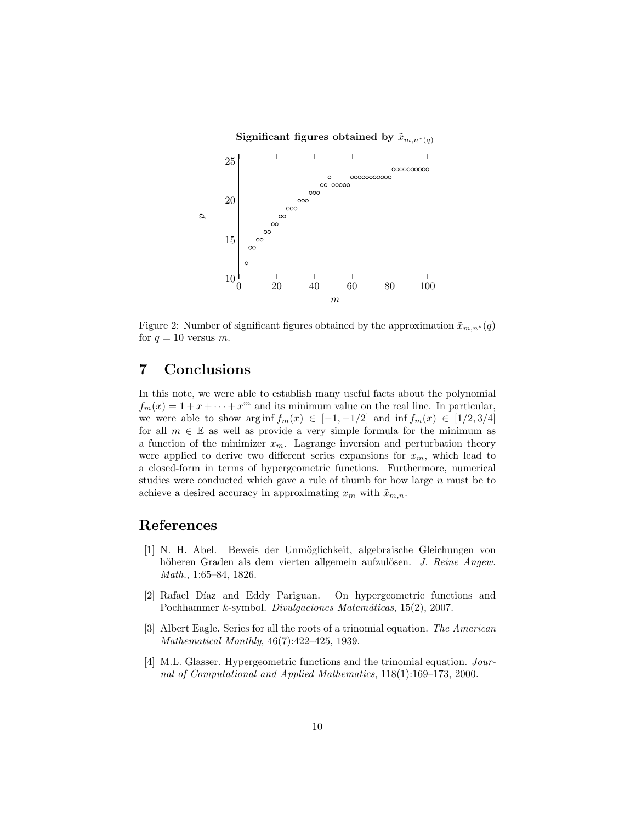

<span id="page-9-4"></span>Figure 2: Number of significant figures obtained by the approximation  $\tilde{x}_{m,n^*}(q)$ for  $q = 10$  versus m.

### 7 Conclusions

In this note, we were able to establish many useful facts about the polynomial  $f_m(x) = 1 + x + \cdots + x^m$  and its minimum value on the real line. In particular, we were able to show arg inf  $f_m(x) \in [-1, -1/2]$  and inf  $f_m(x) \in [1/2, 3/4]$ for all  $m \in \mathbb{E}$  as well as provide a very simple formula for the minimum as a function of the minimizer  $x_m$ . Lagrange inversion and perturbation theory were applied to derive two different series expansions for  $x_m$ , which lead to a closed-form in terms of hypergeometric functions. Furthermore, numerical studies were conducted which gave a rule of thumb for how large  $n$  must be to achieve a desired accuracy in approximating  $x_m$  with  $\tilde{x}_{m,n}$ .

#### References

- <span id="page-9-0"></span>[1] N. H. Abel. Beweis der Unm¨oglichkeit, algebraische Gleichungen von höheren Graden als dem vierten allgemein aufzulösen. J. Reine Angew. Math., 1:65–84, 1826.
- <span id="page-9-1"></span>[2] Rafael Díaz and Eddy Pariguan. On hypergeometric functions and Pochhammer k-symbol. Divulgaciones Matemáticas, 15(2), 2007.
- <span id="page-9-3"></span>[3] Albert Eagle. Series for all the roots of a trinomial equation. The American Mathematical Monthly, 46(7):422–425, 1939.
- <span id="page-9-2"></span>[4] M.L. Glasser. Hypergeometric functions and the trinomial equation. Journal of Computational and Applied Mathematics, 118(1):169–173, 2000.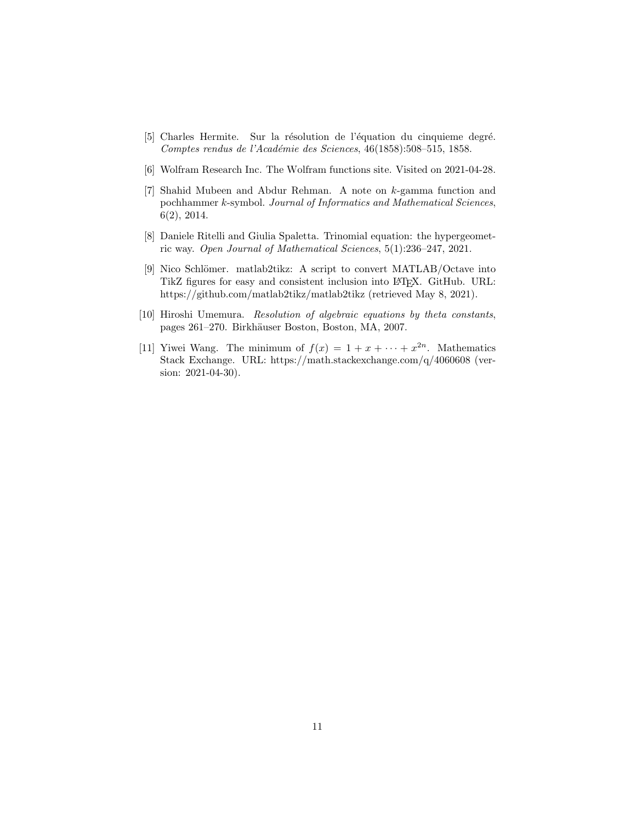- <span id="page-10-3"></span>[5] Charles Hermite. Sur la résolution de l'équation du cinquieme degré. Comptes rendus de l'Académie des Sciences, 46(1858):508-515, 1858.
- <span id="page-10-5"></span>[6] Wolfram Research Inc. The Wolfram functions site. Visited on 2021-04-28.
- <span id="page-10-1"></span>[7] Shahid Mubeen and Abdur Rehman. A note on k-gamma function and pochhammer k-symbol. Journal of Informatics and Mathematical Sciences, 6(2), 2014.
- <span id="page-10-4"></span>[8] Daniele Ritelli and Giulia Spaletta. Trinomial equation: the hypergeometric way. Open Journal of Mathematical Sciences, 5(1):236–247, 2021.
- <span id="page-10-6"></span>[9] Nico Schlömer. matlab2tikz: A script to convert MATLAB/Octave into TikZ figures for easy and consistent inclusion into LATEX. GitHub. URL: https://github.com/matlab2tikz/matlab2tikz (retrieved May 8, 2021).
- <span id="page-10-2"></span>[10] Hiroshi Umemura. Resolution of algebraic equations by theta constants, pages 261–270. Birkhäuser Boston, Boston, MA, 2007.
- <span id="page-10-0"></span>[11] Yiwei Wang. The minimum of  $f(x) = 1 + x + \cdots + x^{2n}$ . Mathematics Stack Exchange. URL: https://math.stackexchange.com/q/4060608 (version: 2021-04-30).